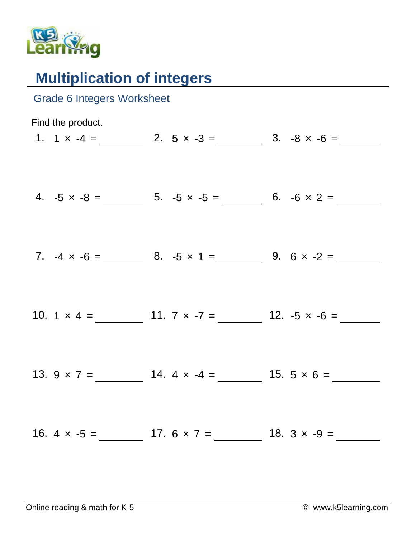

## **Multiplication of integers**

| <b>Grade 6 Integers Worksheet</b> |                                                            |
|-----------------------------------|------------------------------------------------------------|
| Find the product.                 |                                                            |
|                                   | 1. $1 \times -4 =$ 2. $5 \times -3 =$ 3. $-8 \times -6 =$  |
|                                   | 4. $-5 \times -8 =$ 5. $-5 \times -5 =$ 6. $-6 \times 2 =$ |
|                                   | 7. $-4 \times -6 =$ 8. $-5 \times 1 =$ 9. $6 \times -2 =$  |
|                                   |                                                            |
|                                   | 13. $9 \times 7 =$ 14. $4 \times -4 =$ 15. $5 \times 6 =$  |
|                                   |                                                            |